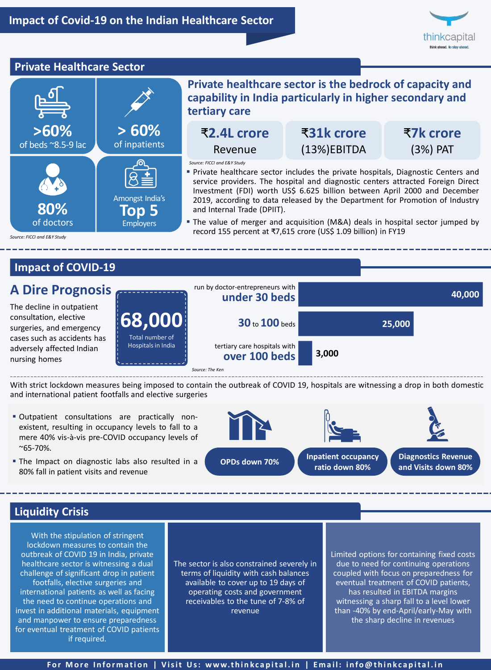

### **Private Healthcare Sector**



# **Impact of COVID-19**



With strict lockdown measures being imposed to contain the outbreak of COVID 19, hospitals are witnessing a drop in both domestic and international patient footfalls and elective surgeries

- Outpatient consultations are practically nonexistent, resulting in occupancy levels to fall to a mere 40% vis-à-vis pre-COVID occupancy levels of  $^{\sim}65 - 70\%$ .
- The Impact on diagnostic labs also resulted in a 80% fall in patient visits and revenue



### **Liquidity Crisis**

With the stipulation of stringent lockdown measures to contain the outbreak of COVID 19 in India, private healthcare sector is witnessing a dual challenge of significant drop in patient footfalls, elective surgeries and international patients as well as facing the need to continue operations and invest in additional materials, equipment and manpower to ensure preparedness for eventual treatment of COVID patients if required.

The sector is also constrained severely in terms of liquidity with cash balances available to cover up to 19 days of operating costs and government receivables to the tune of 7-8% of revenue

Limited options for containing fixed costs due to need for continuing operations coupled with focus on preparedness for eventual treatment of COVID patients, has resulted in EBITDA margins witnessing a sharp fall to a level lower than -40% by end-April/early-May with the sharp decline in revenues

For More Information | Visit Us: www.thinkcapital.in | Email: info@thinkcapital.in